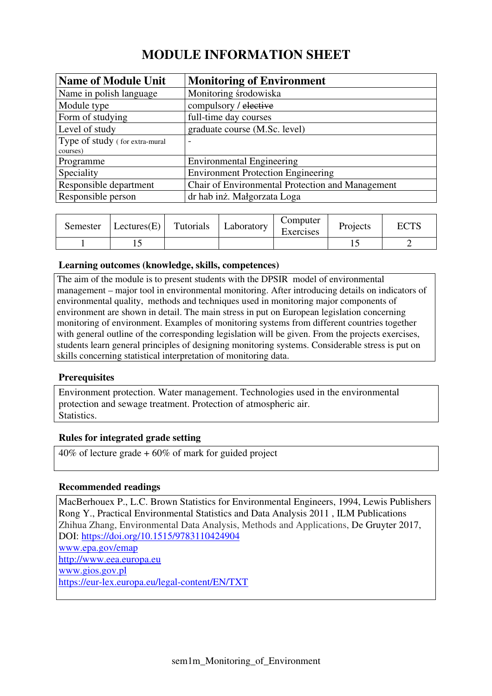# **MODULE INFORMATION SHEET**

| <b>Name of Module Unit</b>     | <b>Monitoring of Environment</b>                 |
|--------------------------------|--------------------------------------------------|
| Name in polish language        | Monitoring środowiska                            |
| Module type                    | compulsory / elective                            |
| Form of studying               | full-time day courses                            |
| Level of study                 | graduate course (M.Sc. level)                    |
| Type of study (for extra-mural | $\overline{\phantom{0}}$                         |
| courses)                       |                                                  |
| Programme                      | <b>Environmental Engineering</b>                 |
| Speciality                     | <b>Environment Protection Engineering</b>        |
| Responsible department         | Chair of Environmental Protection and Management |
| Responsible person             | dr hab inż. Małgorzata Loga                      |

| Semester | Lectures(E) | Tutorials | Laboratory | Computer<br>Exercises | Projects | $\Gamma\cap$ TC |
|----------|-------------|-----------|------------|-----------------------|----------|-----------------|
|          |             |           |            |                       |          |                 |

# **Learning outcomes (knowledge, skills, competences)**

The aim of the module is to present students with the DPSIR model of environmental management – major tool in environmental monitoring. After introducing details on indicators of environmental quality, methods and techniques used in monitoring major components of environment are shown in detail. The main stress in put on European legislation concerning monitoring of environment. Examples of monitoring systems from different countries together with general outline of the corresponding legislation will be given. From the projects exercises, students learn general principles of designing monitoring systems. Considerable stress is put on skills concerning statistical interpretation of monitoring data.

# **Prerequisites**

Environment protection. Water management. Technologies used in the environmental protection and sewage treatment. Protection of atmospheric air. Statistics.

# **Rules for integrated grade setting**

40% of lecture grade + 60% of mark for guided project

# **Recommended readings**

MacBerhouex P., L.C. Brown Statistics for Environmental Engineers, 1994, Lewis Publishers Rong Y., Practical Environmental Statistics and Data Analysis 2011 , ILM Publications Zhihua Zhang, Environmental Data Analysis, Methods and Applications, De Gruyter 2017, DOI: https://doi.org/10.1515/9783110424904 www.epa.gov/emap http://www.eea.europa.eu www.gios.gov.pl https://eur-lex.europa.eu/legal-content/EN/TXT